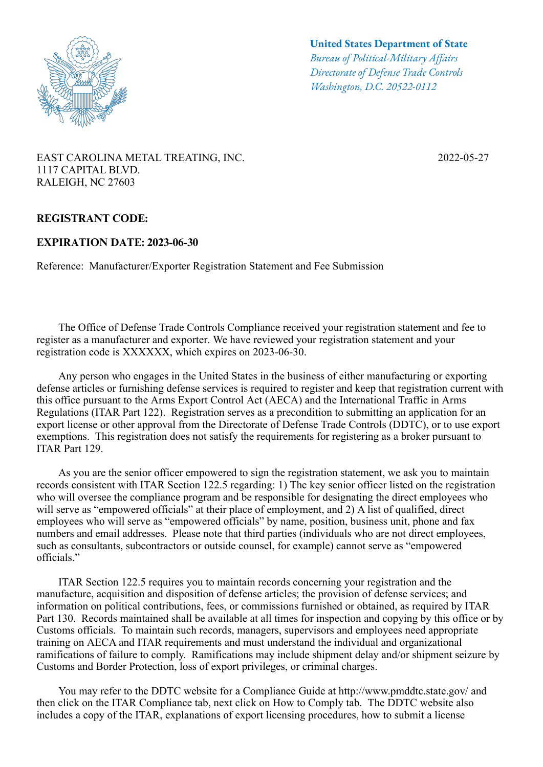

**United States Department of State**

*Bureau of Political-Military Afairs Directorate of Defense Trade Controls Washington, D.C. 20522-0112*

## EAST CAROLINA METAL TREATING, INC. 2022-05-27 1117 CAPITAL BLVD. RALEIGH, NC 27603

## **REGISTRANT CODE:**

## **EXPIRATION DATE: 2023-06-30**

Reference: Manufacturer/Exporter Registration Statement and Fee Submission

 The Office of Defense Trade Controls Compliance received your registration statement and fee to register as a manufacturer and exporter. We have reviewed your registration statement and your registration code is XXXXXX, which expires on 2023-06-30.

 Any person who engages in the United States in the business of either manufacturing or exporting defense articles or furnishing defense services is required to register and keep that registration current with this office pursuant to the Arms Export Control Act (AECA) and the International Traffic in Arms Regulations (ITAR Part 122). Registration serves as a precondition to submitting an application for an export license or other approval from the Directorate of Defense Trade Controls (DDTC), or to use export exemptions. This registration does not satisfy the requirements for registering as a broker pursuant to ITAR Part 129.

 As you are the senior officer empowered to sign the registration statement, we ask you to maintain records consistent with ITAR Section 122.5 regarding: 1) The key senior officer listed on the registration who will oversee the compliance program and be responsible for designating the direct employees who will serve as "empowered officials" at their place of employment, and 2) A list of qualified, direct employees who will serve as "empowered officials" by name, position, business unit, phone and fax numbers and email addresses. Please note that third parties (individuals who are not direct employees, such as consultants, subcontractors or outside counsel, for example) cannot serve as "empowered officials."

 ITAR Section 122.5 requires you to maintain records concerning your registration and the manufacture, acquisition and disposition of defense articles; the provision of defense services; and information on political contributions, fees, or commissions furnished or obtained, as required by ITAR Part 130. Records maintained shall be available at all times for inspection and copying by this office or by Customs officials. To maintain such records, managers, supervisors and employees need appropriate training on AECA and ITAR requirements and must understand the individual and organizational ramifications of failure to comply. Ramifications may include shipment delay and/or shipment seizure by Customs and Border Protection, loss of export privileges, or criminal charges.

 You may refer to the DDTC website for a Compliance Guide at http://www.pmddtc.state.gov/ and then click on the ITAR Compliance tab, next click on How to Comply tab. The DDTC website also includes a copy of the ITAR, explanations of export licensing procedures, how to submit a license